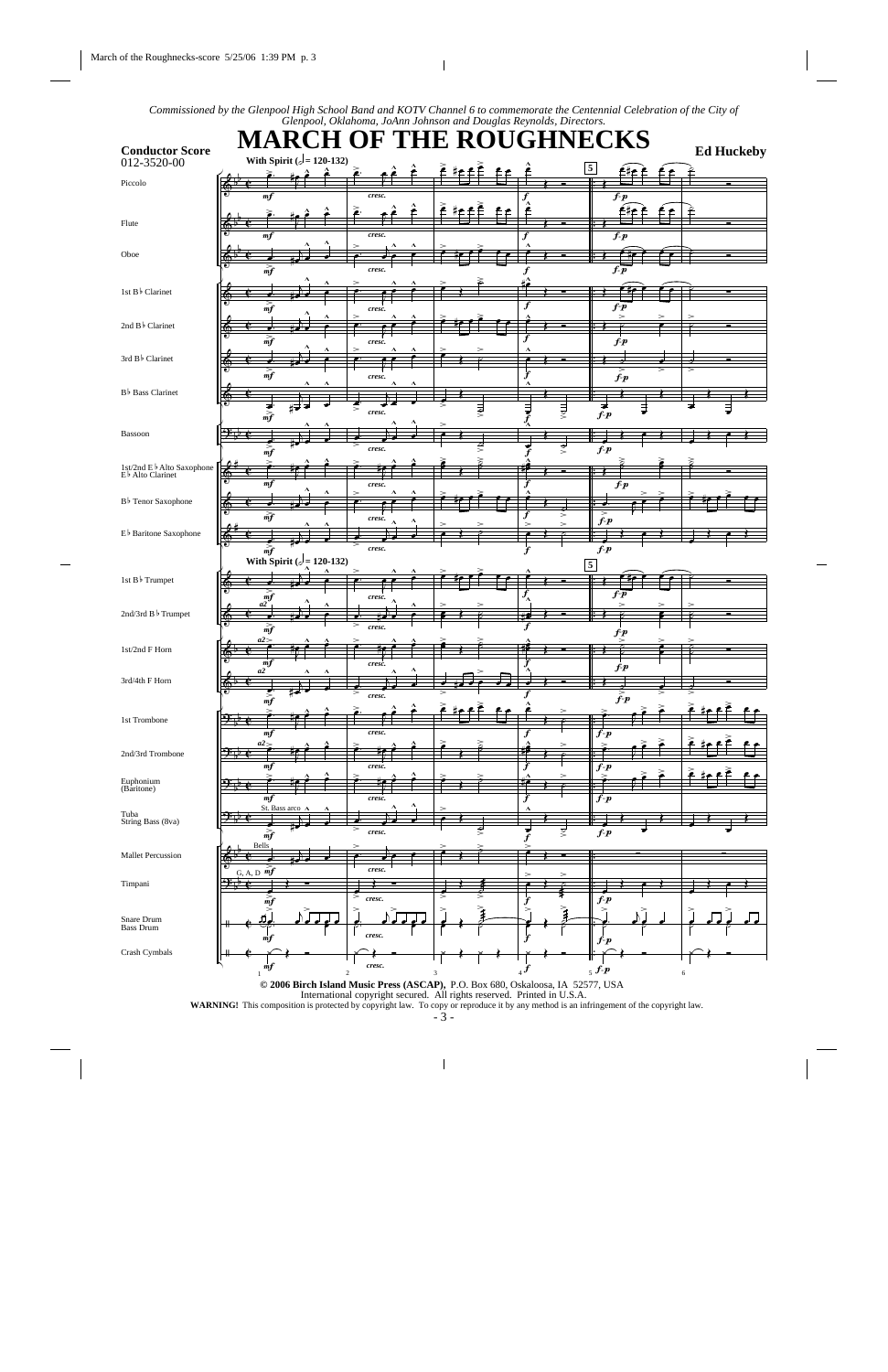*Commissioned by the Glenpool High School Band and KOTV Channel 6 to commemorate the Centennial Celebration of the City of Glenpool, Oklahoma, JoAnn Johnson and Douglas Reynolds, Directors.*

| <b>Conductor Score</b>                          | <b>MARCH OF THE ROUGHNECKS</b>                                                                 |                       |            |                                                             |                                                   |                   |
|-------------------------------------------------|------------------------------------------------------------------------------------------------|-----------------------|------------|-------------------------------------------------------------|---------------------------------------------------|-------------------|
| 012-3520-00                                     | With Spirit $\left(\frac{1}{2}\right) = 120-132$                                               |                       |            | 5                                                           |                                                   | <b>Ed Huckeby</b> |
| Piccolo                                         |                                                                                                | cresc.                |            |                                                             |                                                   |                   |
|                                                 | mf                                                                                             |                       |            |                                                             | f p                                               |                   |
| Flute                                           | mf                                                                                             | cresc.                |            |                                                             | f p                                               |                   |
| Oboe                                            |                                                                                                |                       |            |                                                             |                                                   |                   |
|                                                 | $\sum_{m}$                                                                                     | cresc.                |            |                                                             | $f\overline{p}$                                   |                   |
| 1st B <sub>b</sub> Clarinet                     |                                                                                                | cresc.                |            | f                                                           | f p                                               |                   |
| 2nd B <sub>b</sub> Clarinet                     | $\frac{1}{m}$                                                                                  | cresc.                |            |                                                             | ><br>f p                                          |                   |
| 3rd B <sub>b</sub> Clarinet                     | $\frac{1}{m}$                                                                                  | cresc.                |            |                                                             | $\overline{\tilde{f}_{\cdot} p}$<br>$\Rightarrow$ |                   |
| B <sub>b</sub> Bass Clarinet                    | ⊕                                                                                              |                       | ₹          | HRA<br>₹                                                    |                                                   |                   |
| Bassoon                                         | $\sum_{m}$<br>∌ ⊄∺9                                                                            | cresc.                |            | $f\cdot p$                                                  |                                                   |                   |
|                                                 | $\stackrel{\textstyle >}{\textstyle{\text{mf}}}$                                               | cresc.                |            | ट्र<br>f p                                                  |                                                   |                   |
| 1st/2nd E b Alto Saxophone<br>E b Alto Clarinet | mf                                                                                             | cresc.                |            |                                                             | f p                                               |                   |
| B <sub>b</sub> Tenor Saxophone                  | L                                                                                              |                       |            |                                                             |                                                   |                   |
| Eb Baritone Saxophone                           | €                                                                                              | cresc.<br>cresc.      |            | $f\cdot p$                                                  |                                                   |                   |
|                                                 | $\widehat{\mathit{mf}}$<br>With Spirit $\left(\frac{1}{2}\right) = 120-132$                    |                       |            | f p<br>$\overline{5}$                                       |                                                   |                   |
| 1st B <sub>b</sub> Trumpet                      | ◢                                                                                              |                       |            |                                                             |                                                   |                   |
| 2nd/3rd B b Trumpet                             | $\sum_{\substack{m \ f}}$<br>$\blacklozenge$                                                   | cresc.<br>$\geq$      |            | 43                                                          | $f\, p$                                           |                   |
| 1st/2nd F Horn                                  | $\overline{\widetilde{_{\textit{mf}}}}$<br>a2                                                  | cresc.                |            |                                                             | $\frac{f p}{\geq}$                                |                   |
| 3rd/4th F Horn                                  | mf<br>$\it{a2}$<br>€                                                                           | cresc.                |            |                                                             | $f\!\cdot\! p$                                    |                   |
|                                                 | $\sum_{m}$                                                                                     | cresc.                |            |                                                             | $\vec{f} \cdot \vec{p}$                           |                   |
| 1st Trombone                                    | m f                                                                                            | cresc.                |            | $\boldsymbol{f}$<br>f p                                     |                                                   |                   |
| 2nd/3rd Trombone                                | a2<br>י ל<br>m f                                                                               | cresc.                |            |                                                             |                                                   |                   |
| Euphonium<br>(Baritone)                         | <del>ງ</del> ։<br>m f                                                                          | cresc.                |            | $\frac{f\cdot p}{\geq}$<br>J<br>$f\text{-}p$<br>f           |                                                   |                   |
| Tuba<br>String Bass (8va)                       | St. Bass arco A<br>$\overline{\mathcal{F}}$ t<br>$\stackrel{\textstyle >}{\textstyle \it{mf}}$ | cresc.                | ∮          | Λ<br>₫<br>$f\,$                                             |                                                   |                   |
| <b>Mallet Percussion</b>                        | Bells                                                                                          |                       |            |                                                             |                                                   |                   |
| Timpani                                         | $G, A, D$ $\overrightarrow{mf}$<br>うしゃ                                                         | cresc.<br>❣<br>cresc. | ⋗          |                                                             |                                                   |                   |
| Snare Drum<br>Bass Drum                         | $\stackrel{\textstyle >}{\textstyle \it{mf}}$<br>mf                                            | cresc.                |            | $f\!\cdot\! p$<br>f<br>$\tilde{\mathbf{f}}$<br>><br>$f\, p$ |                                                   |                   |
| Crash Cymbals                                   | $_{mf}$<br>$\mathbf{1}$                                                                        | cresc.<br>$\,2\,$     | $\sqrt{3}$ | $_{4}f$<br>$5$ $f\$ $p$                                     |                                                   | 6                 |

2006 Birch Island Music Press (ASCAP), P.O. Box 680, Oskaloosa, IA 52577, USA International copyright secured. All rights reserved. Printed in U.S.A. **WARNING!** This composition is protected by copyright law. To copy or reproduce it by any method is an infringement of the copyright law. **© 2006 Birch Island Music Press (ASCAP),**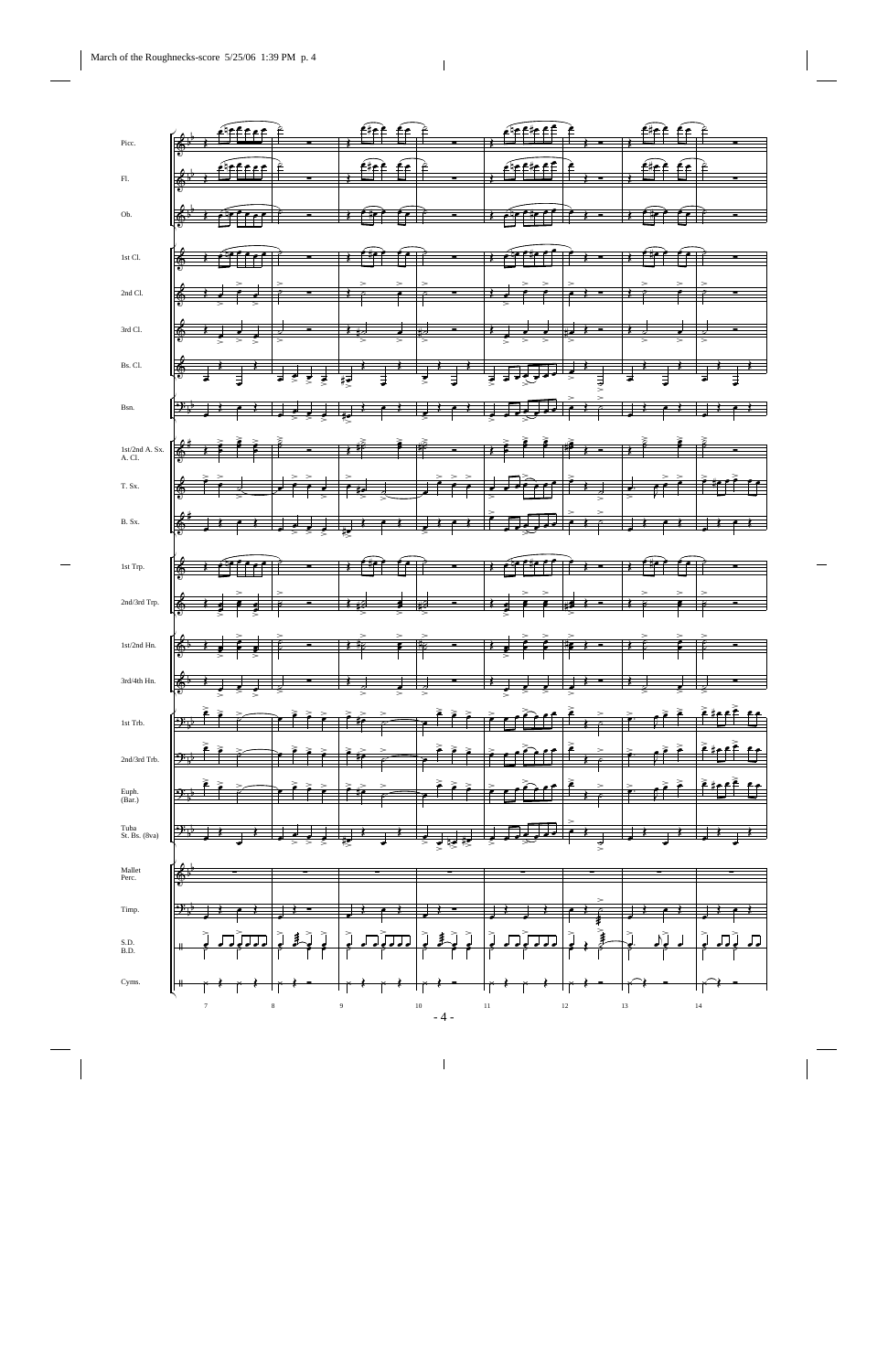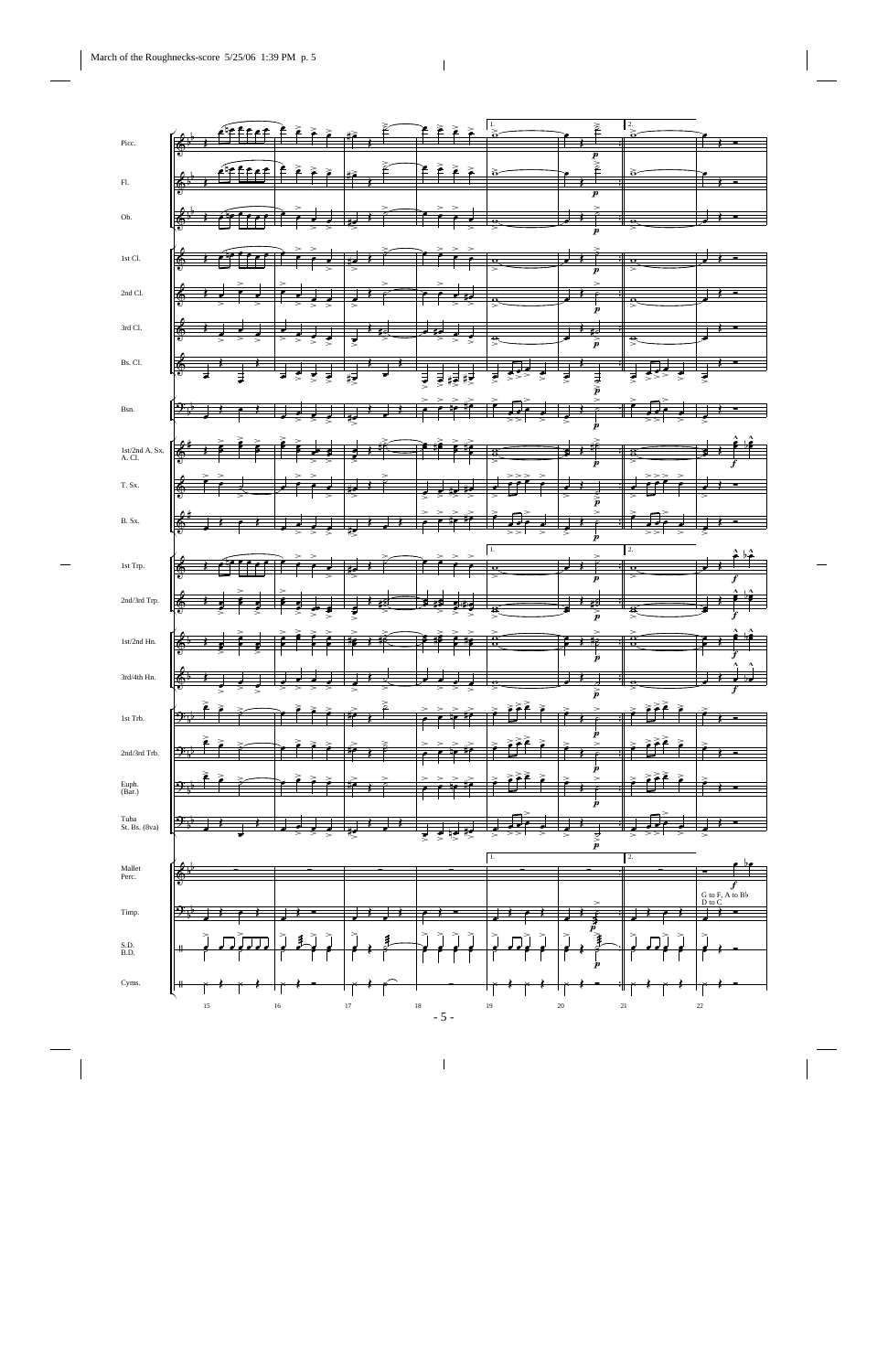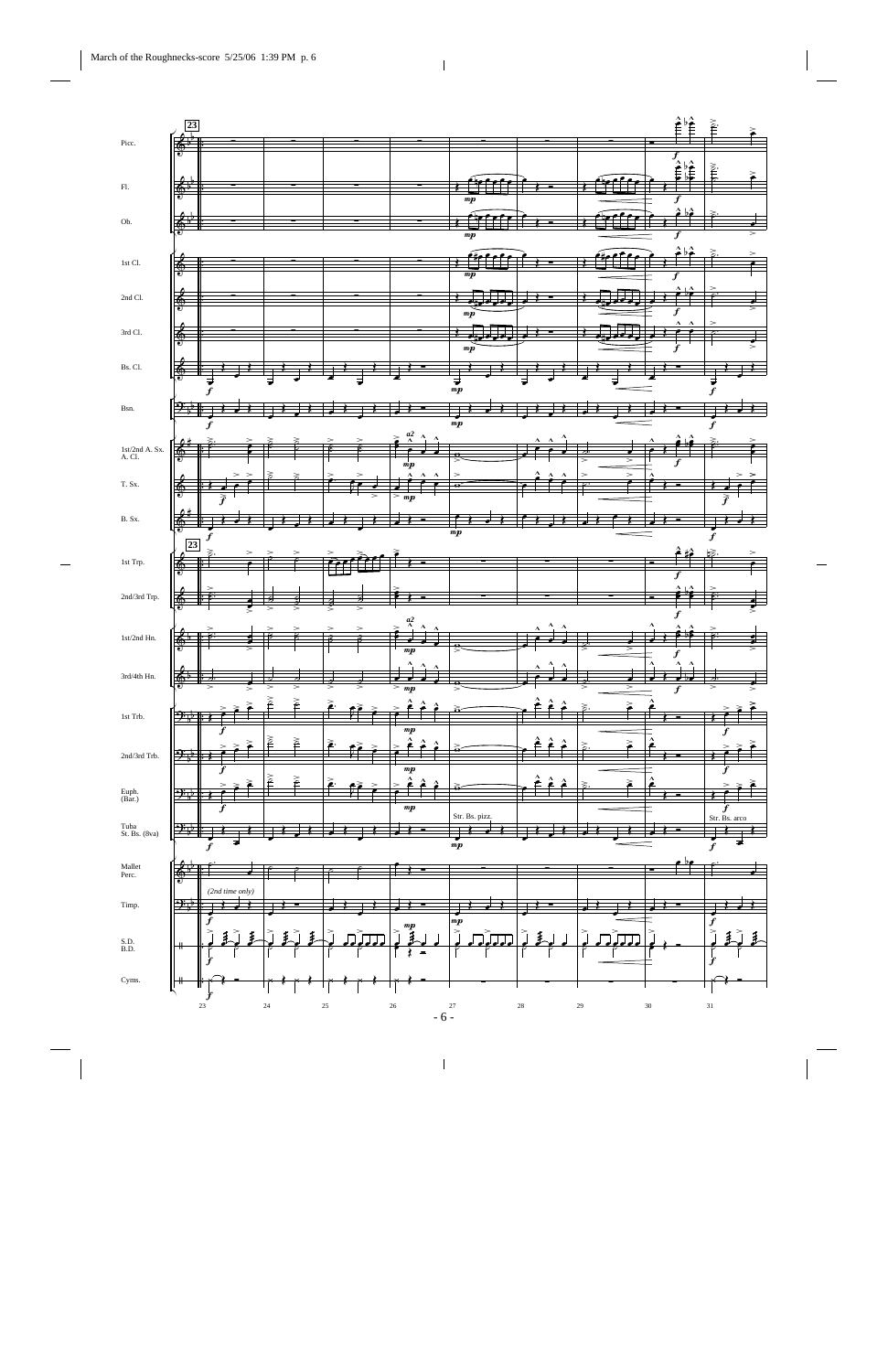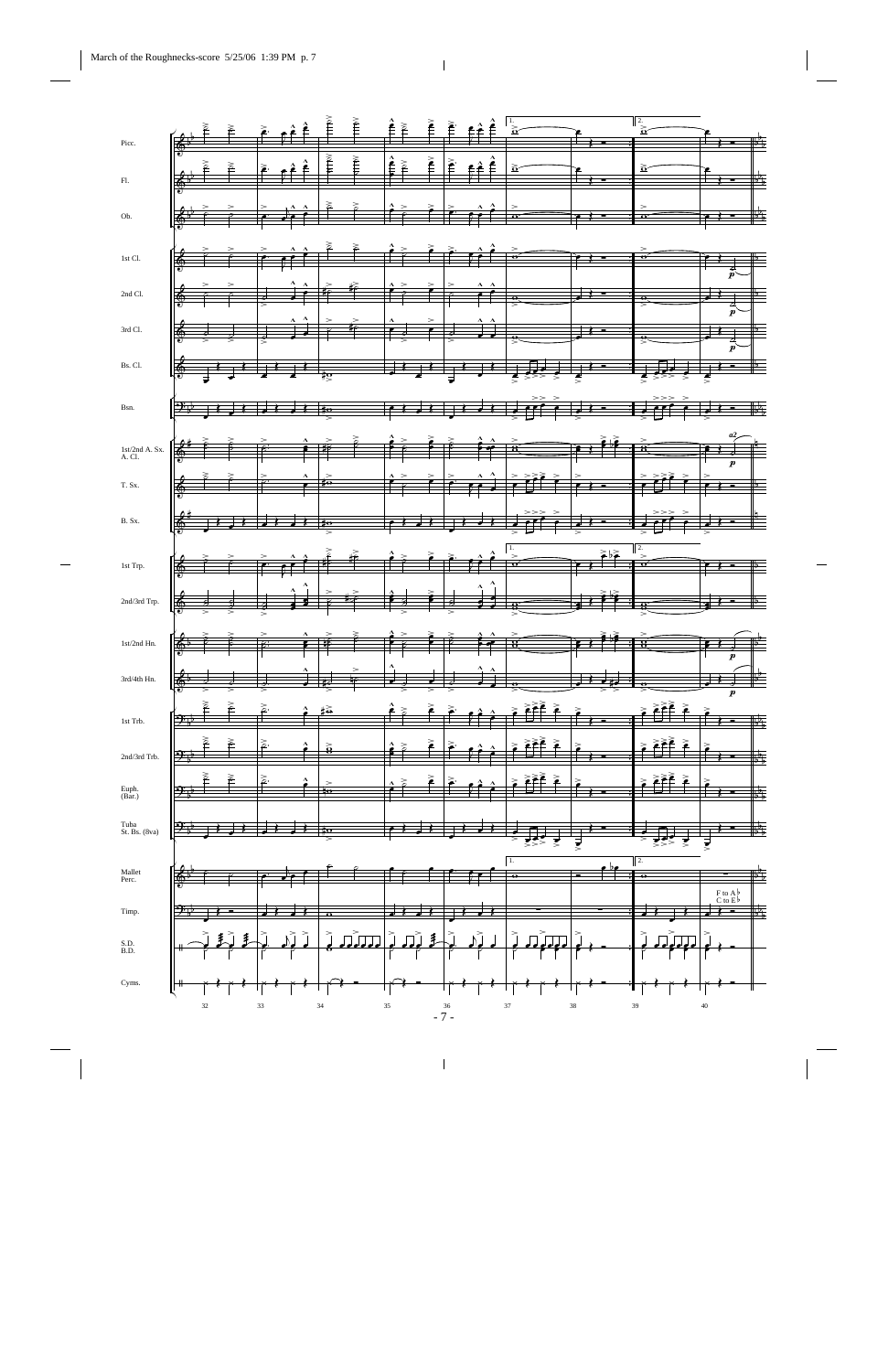| Picc                     |                                                                                        |               |                          |                                              |                                        |                                                                                                                                                                                                                                                                                                                                                                                                                                    |                          |        |                          |                          | $\frac{\sqrt{\frac{1}{2}}}{\sqrt{\frac{1}{2}}}$ |                                                                                                                                                                                                                                                                                                                       |    |  | 2.                       |                         |        |                                                                                                                                   |                           |
|--------------------------|----------------------------------------------------------------------------------------|---------------|--------------------------|----------------------------------------------|----------------------------------------|------------------------------------------------------------------------------------------------------------------------------------------------------------------------------------------------------------------------------------------------------------------------------------------------------------------------------------------------------------------------------------------------------------------------------------|--------------------------|--------|--------------------------|--------------------------|-------------------------------------------------|-----------------------------------------------------------------------------------------------------------------------------------------------------------------------------------------------------------------------------------------------------------------------------------------------------------------------|----|--|--------------------------|-------------------------|--------|-----------------------------------------------------------------------------------------------------------------------------------|---------------------------|
|                          |                                                                                        |               |                          | $\frac{\partial}{\partial x}$                | $\left\  \bullet \right\  \rightarrow$ | $\begin{array}{ c c c c c c c c } \hline \hline \multicolumn{3}{ c }{\multicolumn{3}{ c }{\multicolumn{3}{ c }{\multicolumn{3}{ c }{\multicolumn{3}{ c }{\multicolumn{3}{ c }{\multicolumn{3}{ c }{\multicolumn{3}{ c }{\multicolumn{3}{ c }{\multicolumn{3}{ c }{\multicolumn{3}{ c }{\multicolumn{3}{ c }{\multicolumn{3}{ c }{\multicolumn{3}{ c }{\multicolumn{3}{ c }{\multicolumn{3}{ c }{\multicolumn{3}{ c }{\multicolumn$ |                          |        |                          |                          |                                                 |                                                                                                                                                                                                                                                                                                                       |    |  |                          |                         |        |                                                                                                                                   |                           |
| F1.                      | $\begin{array}{ccc}\n & \frac{2}{2} \\  & \frac{1}{2} \\  & \frac{1}{2}\n \end{array}$ |               |                          |                                              |                                        |                                                                                                                                                                                                                                                                                                                                                                                                                                    |                          |        |                          |                          |                                                 |                                                                                                                                                                                                                                                                                                                       |    |  |                          |                         |        |                                                                                                                                   | $\mathbb{B}^{\mathsf{b}}$ |
| Ob.                      |                                                                                        |               |                          |                                              |                                        |                                                                                                                                                                                                                                                                                                                                                                                                                                    |                          |        |                          |                          |                                                 |                                                                                                                                                                                                                                                                                                                       |    |  | $\overline{\mathbf{e}'}$ |                         |        | $\rightarrow$ $\rightarrow$ $\rightarrow$ $\rightarrow$                                                                           |                           |
| 1st Cl.                  |                                                                                        |               |                          |                                              |                                        |                                                                                                                                                                                                                                                                                                                                                                                                                                    |                          |        |                          |                          |                                                 |                                                                                                                                                                                                                                                                                                                       |    |  |                          |                         |        |                                                                                                                                   |                           |
|                          |                                                                                        |               |                          |                                              |                                        |                                                                                                                                                                                                                                                                                                                                                                                                                                    |                          |        |                          |                          |                                                 |                                                                                                                                                                                                                                                                                                                       |    |  |                          |                         |        |                                                                                                                                   |                           |
| 2nd Cl.                  |                                                                                        |               | $\overline{\phantom{a}}$ |                                              |                                        |                                                                                                                                                                                                                                                                                                                                                                                                                                    |                          |        |                          |                          |                                                 |                                                                                                                                                                                                                                                                                                                       |    |  |                          | $\sum_{\prec}$          |        | $\begin{array}{ c c c }\n\hline\n\text{F} & \text{F} & \text{F} \\ \hline\n\text{F} & \text{F} & \text{F} \\ \hline\n\end{array}$ |                           |
| 3rd Cl.                  |                                                                                        |               |                          |                                              |                                        |                                                                                                                                                                                                                                                                                                                                                                                                                                    |                          |        |                          |                          |                                                 |                                                                                                                                                                                                                                                                                                                       |    |  |                          | $\frac{1}{\sqrt{2\pi}}$ |        |                                                                                                                                   |                           |
| Bs. Cl.                  |                                                                                        |               |                          |                                              |                                        | ति । संस्कृति । संस्कृति । संस्कृति । संस्कृति । संस्कृति । संस्कृति । संस्कृति । संस्कृति । संस्कृति । संस्कृ<br>उत्तर । संस्कृति । संस्कृति । संस्कृति । संस्कृति । संस्कृति । संस्कृति । संस्कृति । संस्कृति । संस्कृति । संस                                                                                                                                                                                                   |                          |        |                          |                          |                                                 |                                                                                                                                                                                                                                                                                                                       |    |  |                          |                         |        |                                                                                                                                   |                           |
| Bsn.                     |                                                                                        |               |                          | $\frac{1}{2}$ $\frac{1}{2}$ $\frac{1}{2}$ to |                                        |                                                                                                                                                                                                                                                                                                                                                                                                                                    | $\overline{\phantom{a}}$ |        |                          |                          |                                                 | $\frac{1}{2}$                                                                                                                                                                                                                                                                                                         |    |  |                          |                         |        |                                                                                                                                   |                           |
|                          |                                                                                        |               |                          |                                              |                                        |                                                                                                                                                                                                                                                                                                                                                                                                                                    |                          |        |                          |                          |                                                 |                                                                                                                                                                                                                                                                                                                       |    |  |                          |                         |        |                                                                                                                                   |                           |
| 1st/2nd A. Sx.<br>A. Cl. |                                                                                        |               | $\frac{2}{\beta}$        | $\frac{1}{2}$                                |                                        |                                                                                                                                                                                                                                                                                                                                                                                                                                    |                          |        |                          |                          |                                                 |                                                                                                                                                                                                                                                                                                                       |    |  |                          |                         |        |                                                                                                                                   |                           |
| T. Sx.                   |                                                                                        |               |                          |                                              |                                        |                                                                                                                                                                                                                                                                                                                                                                                                                                    |                          |        |                          |                          |                                                 |                                                                                                                                                                                                                                                                                                                       |    |  |                          |                         |        |                                                                                                                                   |                           |
| B. Sx.                   |                                                                                        |               |                          |                                              | $\frac{1}{4}$                          | $\frac{1}{\sqrt{1-\frac{1}{2}}}\sqrt{1-\frac{1}{2}}$                                                                                                                                                                                                                                                                                                                                                                               |                          |        | $\overline{\phantom{a}}$ | $\overline{\phantom{a}}$ |                                                 | $\frac{1}{2}$ $\frac{22}{2}$ $\frac{2}{2}$ $\frac{1}{2}$ $\frac{1}{2}$ $\frac{22}{2}$ $\frac{2}{2}$ $\frac{2}{2}$ $\frac{2}{2}$ $\frac{2}{2}$ $\frac{2}{2}$ $\frac{2}{2}$ $\frac{2}{2}$ $\frac{2}{2}$ $\frac{2}{2}$ $\frac{2}{2}$ $\frac{2}{2}$ $\frac{2}{2}$ $\frac{2}{2}$ $\frac{2}{2}$ $\frac{2}{2}$ $\frac{2}{2}$ |    |  |                          |                         |        |                                                                                                                                   |                           |
|                          |                                                                                        |               |                          |                                              |                                        |                                                                                                                                                                                                                                                                                                                                                                                                                                    |                          |        |                          |                          |                                                 |                                                                                                                                                                                                                                                                                                                       |    |  |                          |                         |        |                                                                                                                                   |                           |
| 1st Trp.                 |                                                                                        |               |                          |                                              |                                        |                                                                                                                                                                                                                                                                                                                                                                                                                                    |                          |        |                          |                          |                                                 |                                                                                                                                                                                                                                                                                                                       |    |  |                          |                         |        |                                                                                                                                   |                           |
| 2nd/3rd Trp.             | €                                                                                      | $\frac{1}{2}$ |                          |                                              |                                        | $\frac{1}{2}$ , $\frac{1}{2}$ , $\frac{1}{2}$ , $\frac{1}{2}$ , $\frac{1}{2}$ , $\frac{1}{2}$ , $\frac{1}{2}$ , $\frac{1}{2}$ , $\frac{1}{2}$ , $\frac{1}{2}$ , $\frac{1}{2}$ , $\frac{1}{2}$ , $\frac{1}{2}$                                                                                                                                                                                                                      |                          |        |                          |                          |                                                 |                                                                                                                                                                                                                                                                                                                       |    |  |                          |                         |        |                                                                                                                                   |                           |
| 1st/2nd Hn.              |                                                                                        |               |                          |                                              |                                        |                                                                                                                                                                                                                                                                                                                                                                                                                                    |                          |        |                          |                          |                                                 |                                                                                                                                                                                                                                                                                                                       |    |  |                          |                         |        |                                                                                                                                   |                           |
|                          |                                                                                        |               |                          |                                              |                                        |                                                                                                                                                                                                                                                                                                                                                                                                                                    |                          |        |                          |                          |                                                 |                                                                                                                                                                                                                                                                                                                       |    |  |                          |                         |        | $\boldsymbol{p}$                                                                                                                  |                           |
| 3rd/4th Hn.              |                                                                                        |               |                          |                                              |                                        |                                                                                                                                                                                                                                                                                                                                                                                                                                    |                          |        |                          |                          |                                                 |                                                                                                                                                                                                                                                                                                                       |    |  |                          |                         |        | $\boldsymbol{p}$                                                                                                                  |                           |
| 1st Trb.                 |                                                                                        |               |                          |                                              | ó                                      |                                                                                                                                                                                                                                                                                                                                                                                                                                    |                          |        |                          |                          |                                                 |                                                                                                                                                                                                                                                                                                                       |    |  |                          |                         |        |                                                                                                                                   | $\mathbb{P}^1$            |
| 2nd/3rd Trb.             |                                                                                        | 巨             | ⋧                        |                                              | 8                                      |                                                                                                                                                                                                                                                                                                                                                                                                                                    |                          |        |                          |                          |                                                 |                                                                                                                                                                                                                                                                                                                       |    |  |                          |                         |        |                                                                                                                                   | 畴                         |
| Euph.<br>(Bar.)          | ≧                                                                                      | ≧             | ≽.                       |                                              | ÞΣ                                     |                                                                                                                                                                                                                                                                                                                                                                                                                                    |                          |        |                          |                          |                                                 |                                                                                                                                                                                                                                                                                                                       |    |  |                          |                         |        |                                                                                                                                   | 莇                         |
|                          |                                                                                        |               |                          |                                              |                                        |                                                                                                                                                                                                                                                                                                                                                                                                                                    |                          |        |                          |                          |                                                 |                                                                                                                                                                                                                                                                                                                       |    |  |                          |                         |        |                                                                                                                                   |                           |
| Tuba<br>St. Bs. (8va)    |                                                                                        |               |                          |                                              |                                        |                                                                                                                                                                                                                                                                                                                                                                                                                                    |                          |        |                          |                          |                                                 |                                                                                                                                                                                                                                                                                                                       |    |  |                          |                         | र्     |                                                                                                                                   | $\mathbb{P}^1$            |
| Mallet<br>Perc.          |                                                                                        |               |                          |                                              |                                        |                                                                                                                                                                                                                                                                                                                                                                                                                                    |                          |        |                          |                          |                                                 |                                                                                                                                                                                                                                                                                                                       |    |  | 2.<br>$\bullet$          |                         |        |                                                                                                                                   | $\mathbb{B}^{\flat}$      |
| Timp.                    |                                                                                        |               |                          |                                              |                                        |                                                                                                                                                                                                                                                                                                                                                                                                                                    |                          |        |                          |                          |                                                 |                                                                                                                                                                                                                                                                                                                       |    |  |                          |                         |        | $\begin{array}{c}\nF \text{ to } A \text{ } b \\ C \text{ to } E \text{ } b\n\end{array}$                                         | 齿                         |
|                          |                                                                                        |               |                          |                                              |                                        |                                                                                                                                                                                                                                                                                                                                                                                                                                    |                          |        |                          |                          |                                                 |                                                                                                                                                                                                                                                                                                                       |    |  |                          |                         |        |                                                                                                                                   |                           |
| $_{\rm B.D.}^{\rm S.D.}$ |                                                                                        |               |                          |                                              |                                        |                                                                                                                                                                                                                                                                                                                                                                                                                                    |                          |        |                          |                          |                                                 |                                                                                                                                                                                                                                                                                                                       |    |  |                          |                         |        |                                                                                                                                   |                           |
| Cyms.                    |                                                                                        |               |                          |                                              |                                        |                                                                                                                                                                                                                                                                                                                                                                                                                                    |                          |        |                          |                          |                                                 |                                                                                                                                                                                                                                                                                                                       |    |  |                          |                         |        |                                                                                                                                   |                           |
|                          | 32                                                                                     |               | 33                       |                                              | 34                                     |                                                                                                                                                                                                                                                                                                                                                                                                                                    | $35\,$                   | $-7 -$ |                          |                          | 37                                              |                                                                                                                                                                                                                                                                                                                       | 38 |  | 39                       |                         | $40\,$ |                                                                                                                                   |                           |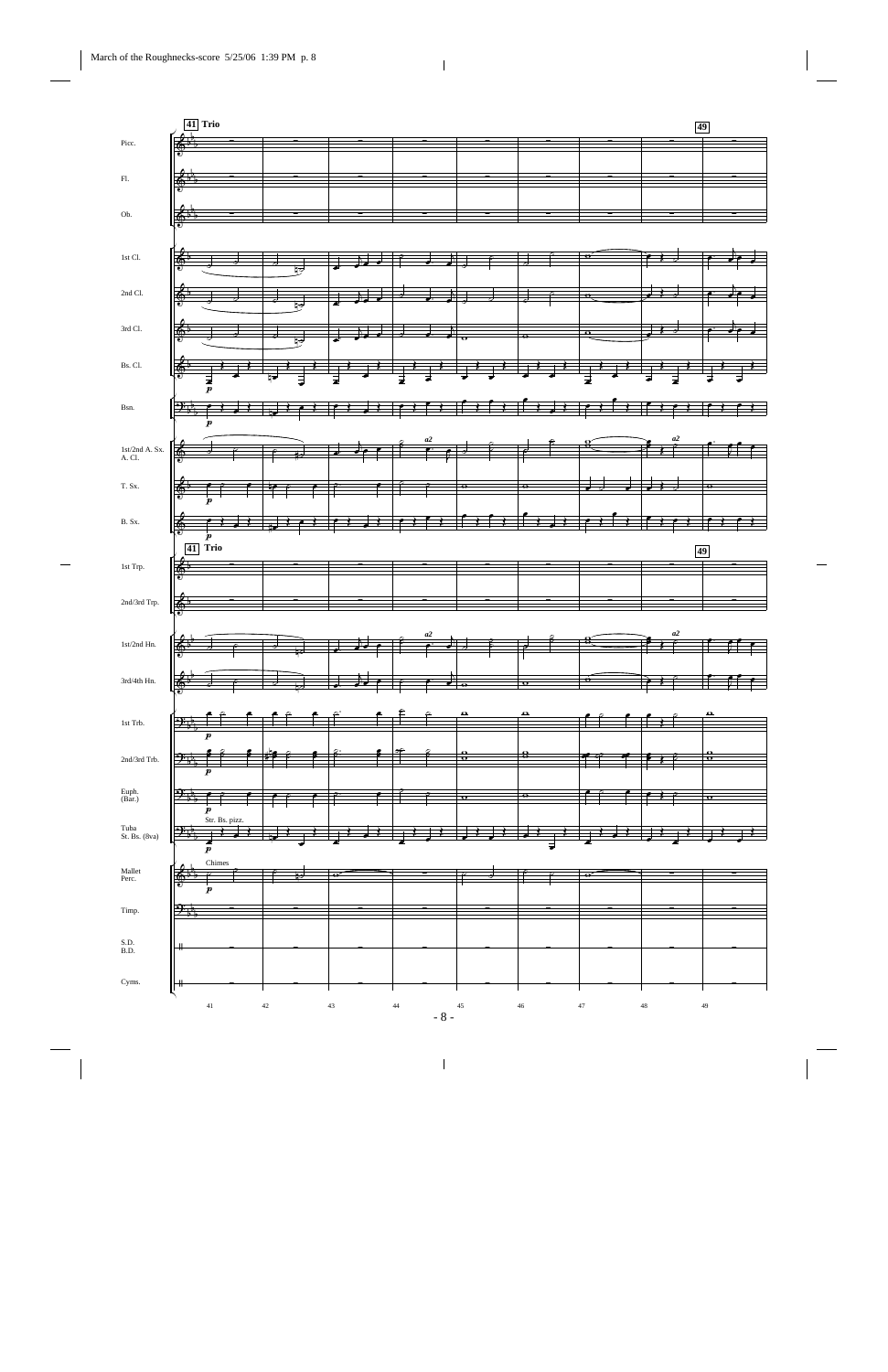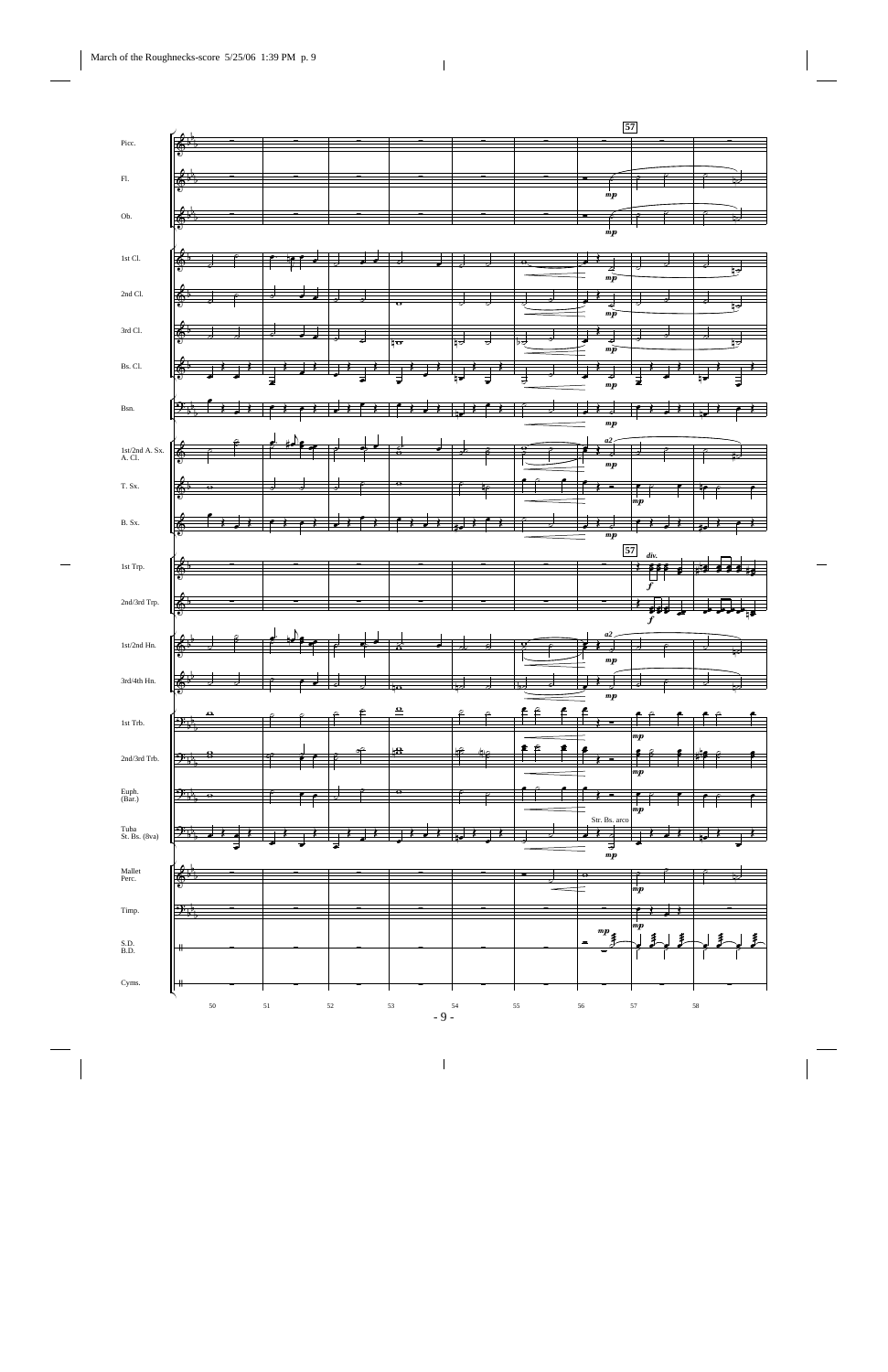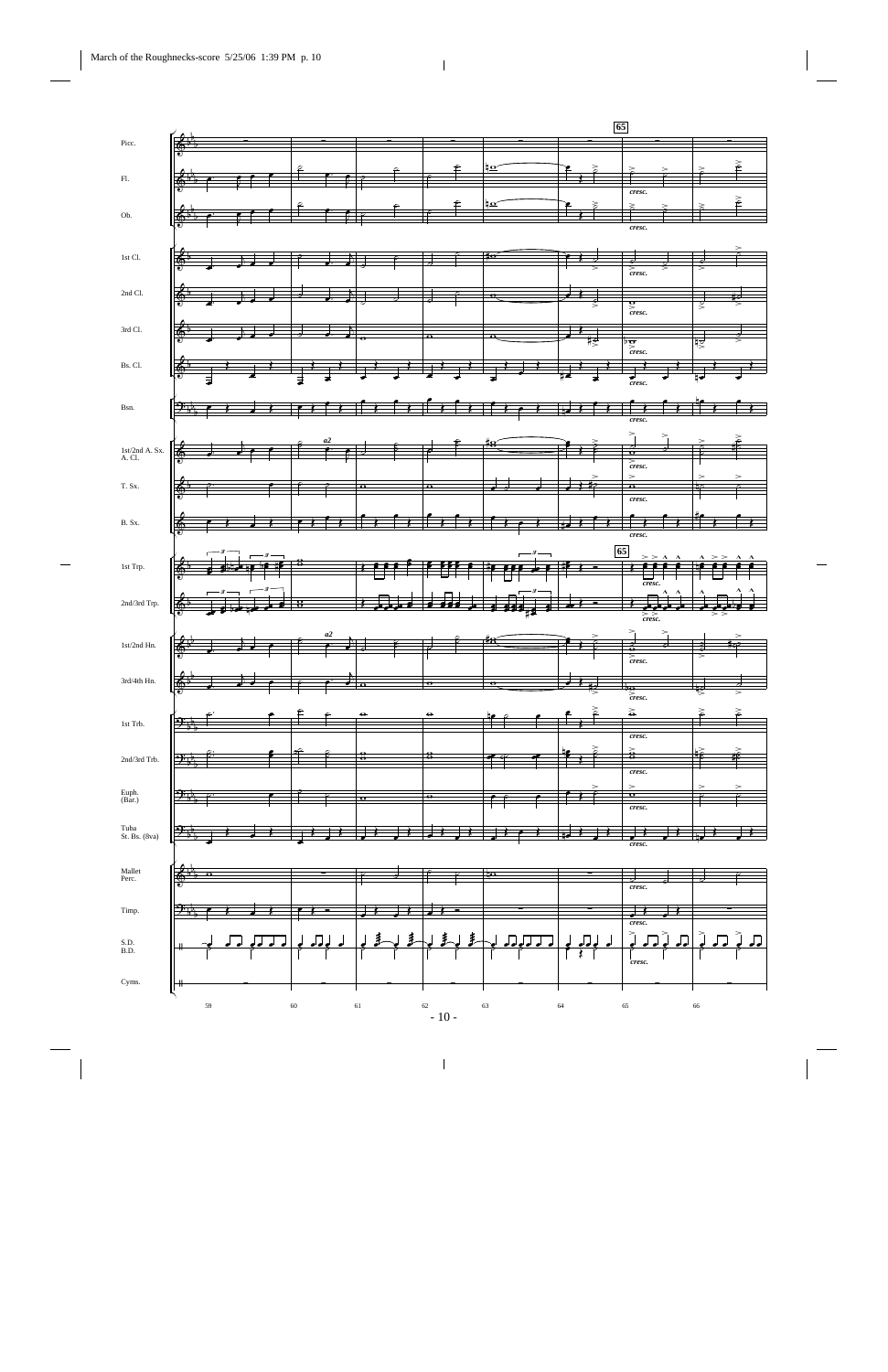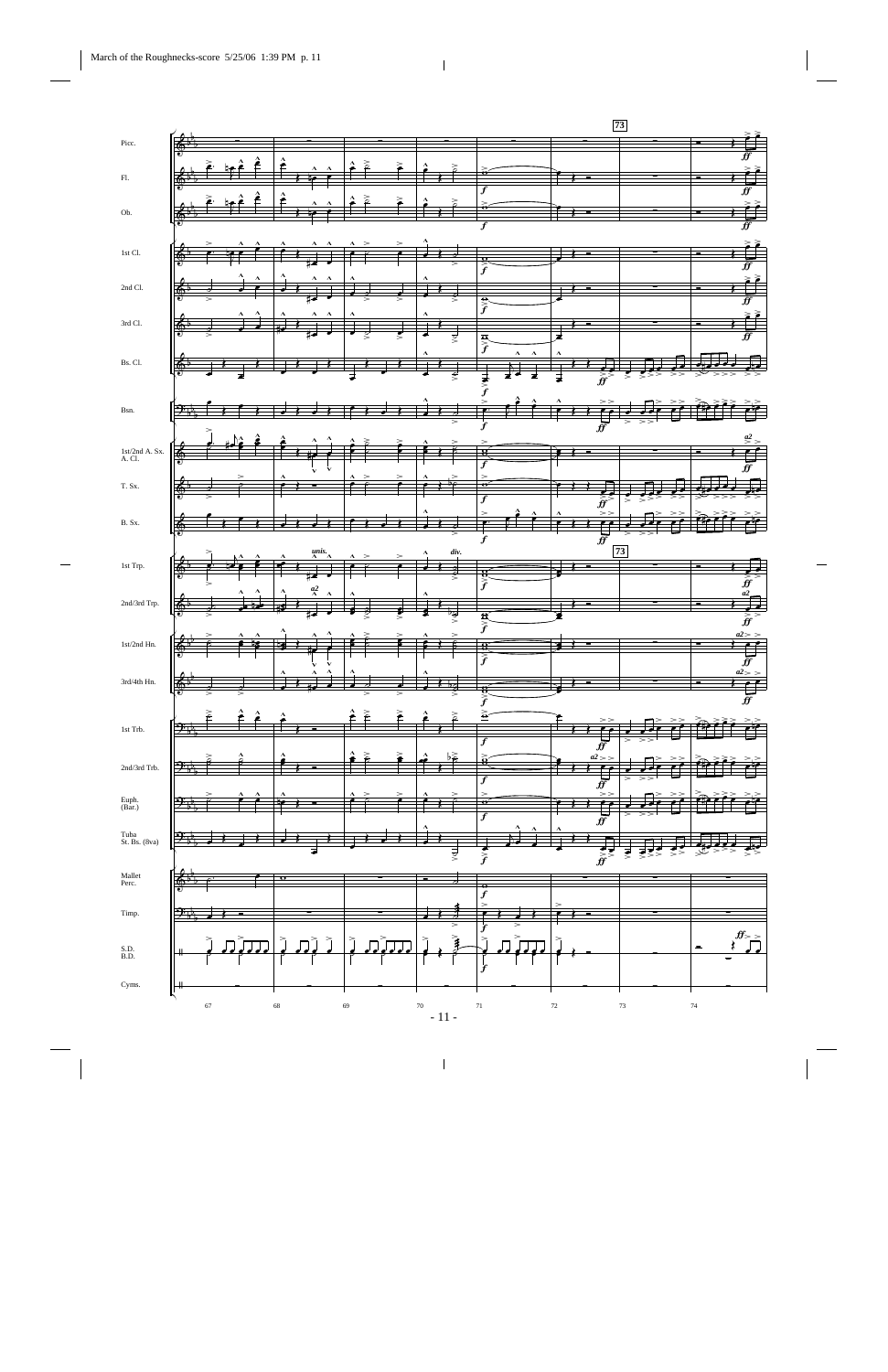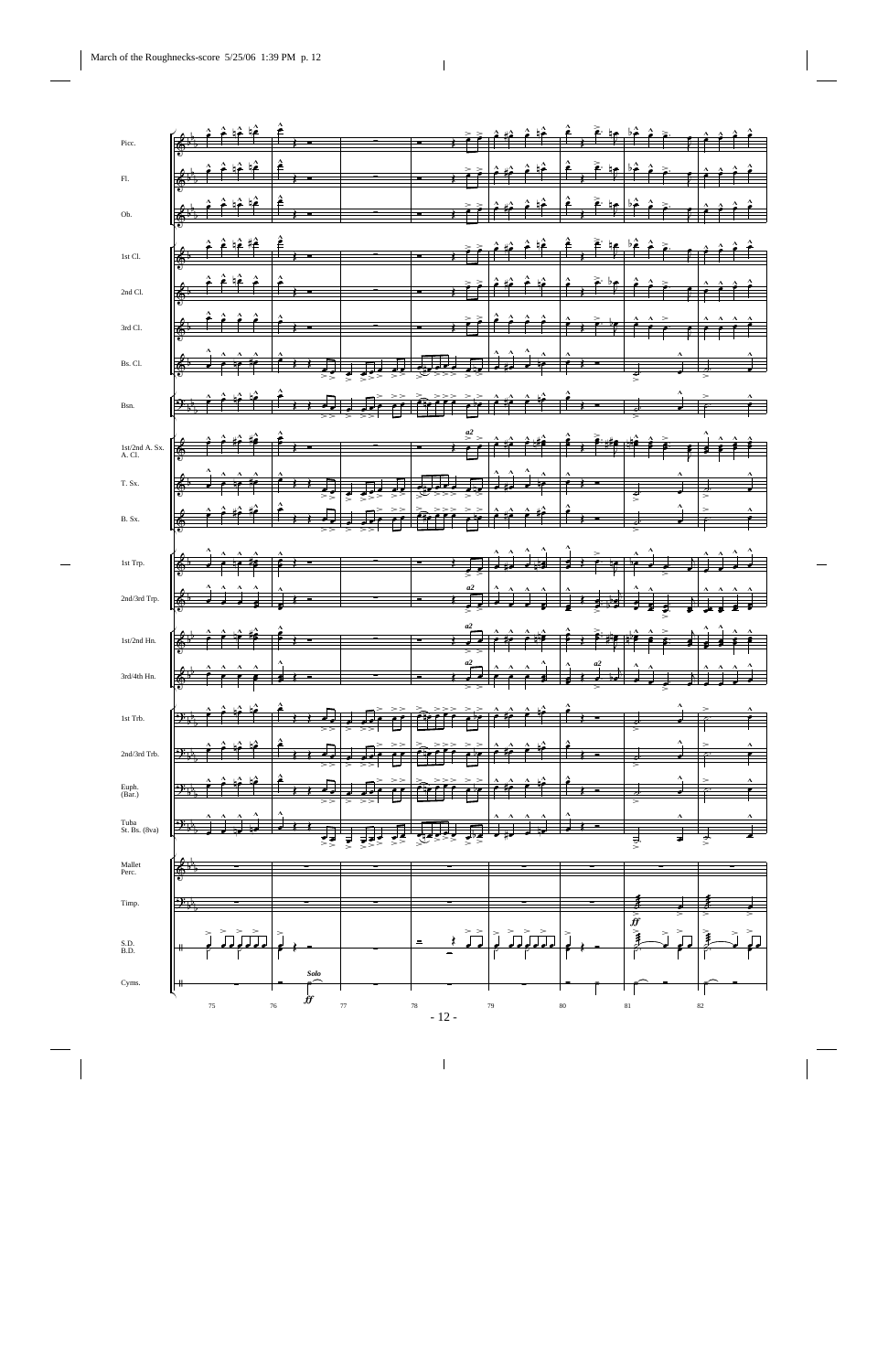|                          |                                                                                                                                                                                                                                                                                                                   |                  |        | $\frac{3}{2}$ |    | $\begin{array}{c} \begin{array}{c} \begin{array}{c} \circ \\ \hline \end{array} & \begin{array}{c} \circ \\ \hline \end{array} \\ \hline \end{array} \end{array}$ | $\rightarrow$                                         |    |
|--------------------------|-------------------------------------------------------------------------------------------------------------------------------------------------------------------------------------------------------------------------------------------------------------------------------------------------------------------|------------------|--------|---------------|----|-------------------------------------------------------------------------------------------------------------------------------------------------------------------|-------------------------------------------------------|----|
| F1.                      |                                                                                                                                                                                                                                                                                                                   |                  |        | $\frac{1}{1}$ |    |                                                                                                                                                                   |                                                       |    |
| Ob.                      |                                                                                                                                                                                                                                                                                                                   |                  |        |               |    |                                                                                                                                                                   |                                                       |    |
| 1st Cl.                  | $\frac{1}{65}$ $\frac{2}{3}$ $\frac{6}{3}$ $\frac{6}{3}$ $\frac{10}{3}$ $\frac{10}{3}$ $\frac{10}{3}$ $\frac{10}{3}$ $\frac{10}{3}$ $\frac{10}{3}$ $\frac{10}{3}$ $\frac{10}{3}$ $\frac{10}{3}$ $\frac{10}{3}$ $\frac{10}{3}$ $\frac{10}{3}$ $\frac{10}{3}$ $\frac{10}{3}$ $\frac{10}{3}$ $\frac{10}{3}$ $\frac{$ |                  |        |               |    |                                                                                                                                                                   |                                                       |    |
| 2nd Cl.                  |                                                                                                                                                                                                                                                                                                                   |                  |        |               |    |                                                                                                                                                                   |                                                       |    |
| 3rd Cl.                  |                                                                                                                                                                                                                                                                                                                   |                  |        |               |    |                                                                                                                                                                   |                                                       |    |
| Bs. Cl.                  | $\frac{2}{3}$ $\frac{1}{3}$ $\frac{1}{3}$ $\frac{1}{3}$ $\frac{1}{3}$ $\frac{1}{3}$ $\frac{1}{3}$ $\frac{1}{3}$ $\frac{1}{3}$ $\frac{1}{3}$ $\frac{1}{3}$ $\frac{1}{3}$ $\frac{1}{3}$ $\frac{1}{3}$ $\frac{1}{3}$ $\frac{1}{3}$ $\frac{1}{3}$ $\frac{1}{3}$ $\frac{1}{3}$                                         |                  |        |               |    |                                                                                                                                                                   |                                                       |    |
| Bsn.                     | $\frac{1}{2}$ , $\frac{1}{2}$ , $\frac{1}{2}$ , $\frac{1}{2}$ , $\frac{1}{2}$ , $\frac{1}{2}$ , $\frac{1}{2}$ , $\frac{1}{2}$ , $\frac{1}{2}$ , $\frac{1}{2}$ , $\frac{1}{2}$ , $\frac{1}{2}$ , $\frac{1}{2}$ , $\frac{1}{2}$ , $\frac{1}{2}$ , $\frac{1}{2}$ , $\frac{1}{2}$ , $\frac{1}{2}$ , $\frac{1$         |                  |        |               |    |                                                                                                                                                                   |                                                       |    |
|                          |                                                                                                                                                                                                                                                                                                                   |                  |        |               |    |                                                                                                                                                                   |                                                       |    |
| 1st/2nd A. Sx.<br>A. Cl. |                                                                                                                                                                                                                                                                                                                   |                  |        |               |    |                                                                                                                                                                   |                                                       |    |
| T. Sx.                   | $\frac{2}{5}$ $\frac{1}{5}$ $\frac{1}{5}$ $\frac{1}{5}$ $\frac{1}{5}$ $\frac{1}{5}$ $\frac{1}{5}$ $\frac{1}{5}$ $\frac{1}{5}$ $\frac{1}{5}$ $\frac{1}{5}$ $\frac{1}{5}$ $\frac{1}{5}$ $\frac{1}{5}$ $\frac{1}{5}$ $\frac{1}{5}$ $\frac{1}{5}$ $\frac{1}{5}$ $\frac{1}{5}$ $\frac{1}{5}$                           |                  |        |               |    |                                                                                                                                                                   |                                                       |    |
| B. Sx.                   |                                                                                                                                                                                                                                                                                                                   |                  |        |               |    |                                                                                                                                                                   |                                                       |    |
| 1st Trp.                 | $\frac{1}{2}$ $\frac{1}{2}$ $\frac{1}{2}$ $\frac{1}{2}$ $\frac{1}{2}$ $\frac{1}{2}$ $\frac{1}{2}$ $\frac{1}{2}$ $\frac{1}{2}$ $\frac{1}{2}$ $\frac{1}{2}$ $\frac{1}{2}$ $\frac{1}{2}$ $\frac{1}{2}$ $\frac{1}{2}$ $\frac{1}{2}$ $\frac{1}{2}$ $\frac{1}{2}$ $\frac{1}{2}$                                         |                  |        |               |    |                                                                                                                                                                   |                                                       |    |
| 2nd/3rd Trp.             |                                                                                                                                                                                                                                                                                                                   |                  |        |               |    |                                                                                                                                                                   |                                                       |    |
| 1st/2nd Hn.              |                                                                                                                                                                                                                                                                                                                   |                  |        | a2            |    |                                                                                                                                                                   |                                                       |    |
| 3rd/4th Hn.              |                                                                                                                                                                                                                                                                                                                   |                  |        | a2            |    |                                                                                                                                                                   |                                                       |    |
| 1st Trb.                 |                                                                                                                                                                                                                                                                                                                   |                  |        |               |    |                                                                                                                                                                   |                                                       |    |
| 2nd/3rd Trb.             |                                                                                                                                                                                                                                                                                                                   |                  |        |               |    |                                                                                                                                                                   |                                                       |    |
| Euph.<br>(Bar.)          |                                                                                                                                                                                                                                                                                                                   |                  |        |               |    |                                                                                                                                                                   |                                                       |    |
| Tuba<br>St. Bs. (8va)    |                                                                                                                                                                                                                                                                                                                   |                  |        |               |    |                                                                                                                                                                   |                                                       |    |
| Mallet                   |                                                                                                                                                                                                                                                                                                                   |                  |        |               |    |                                                                                                                                                                   | 긓.                                                    | ₹. |
| Perc.<br>Timp.           | $\mathcal{P}_\mathbb{P}$                                                                                                                                                                                                                                                                                          |                  |        |               |    |                                                                                                                                                                   |                                                       |    |
|                          |                                                                                                                                                                                                                                                                                                                   |                  |        |               |    |                                                                                                                                                                   | $\overline{\overline{\mathbf{\hat{f}^{\mathbf{f}}}}}$ |    |
| S.D.<br>B.D.             |                                                                                                                                                                                                                                                                                                                   |                  |        |               |    |                                                                                                                                                                   |                                                       |    |
| Cyms.                    | $75\,$                                                                                                                                                                                                                                                                                                            | Solo<br>Ĵf<br>76 | $77\,$ | $78\,$        | 79 | 80                                                                                                                                                                | $81\,$                                                | 82 |
|                          |                                                                                                                                                                                                                                                                                                                   |                  |        | $-12-$        |    |                                                                                                                                                                   |                                                       |    |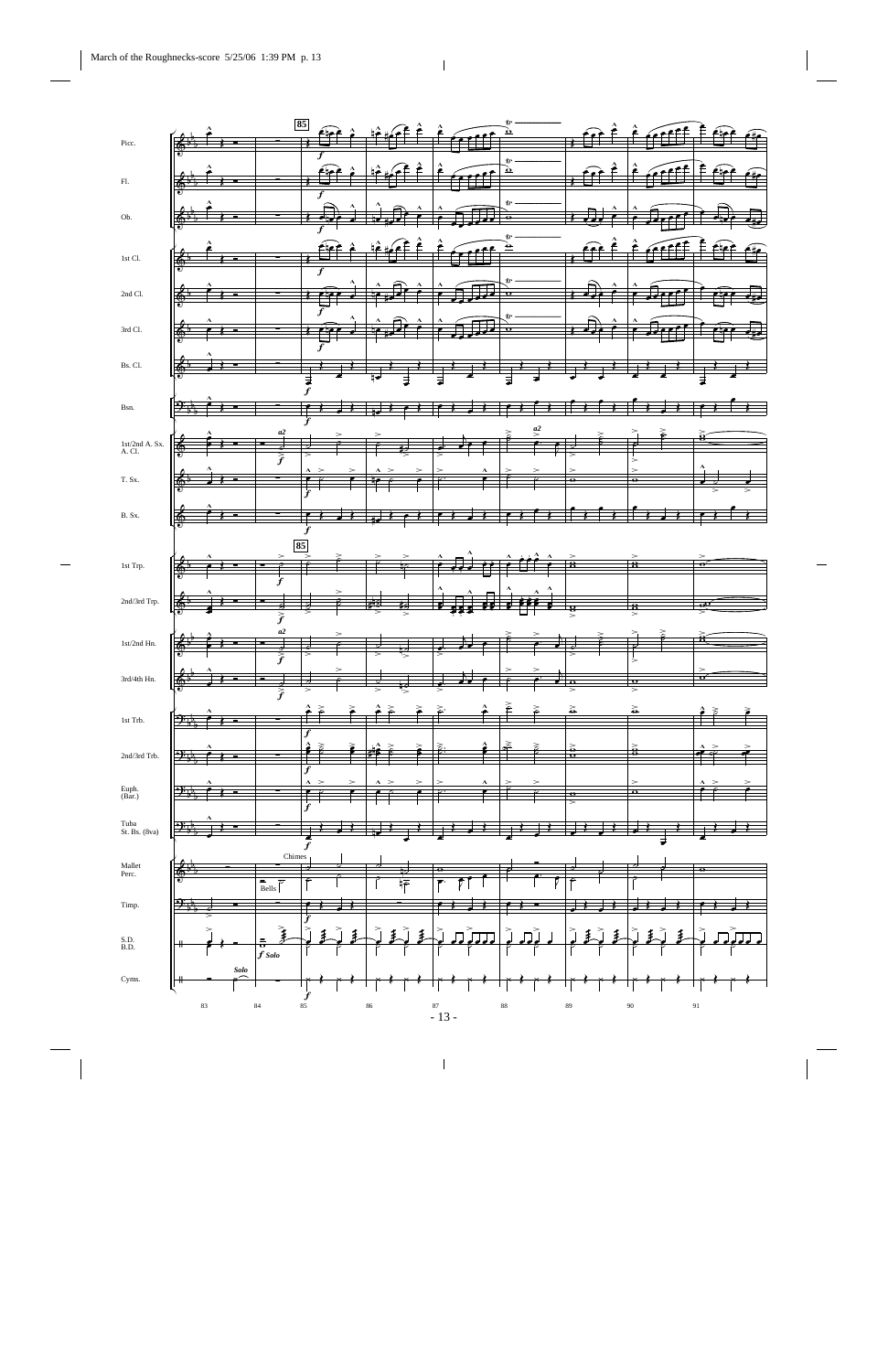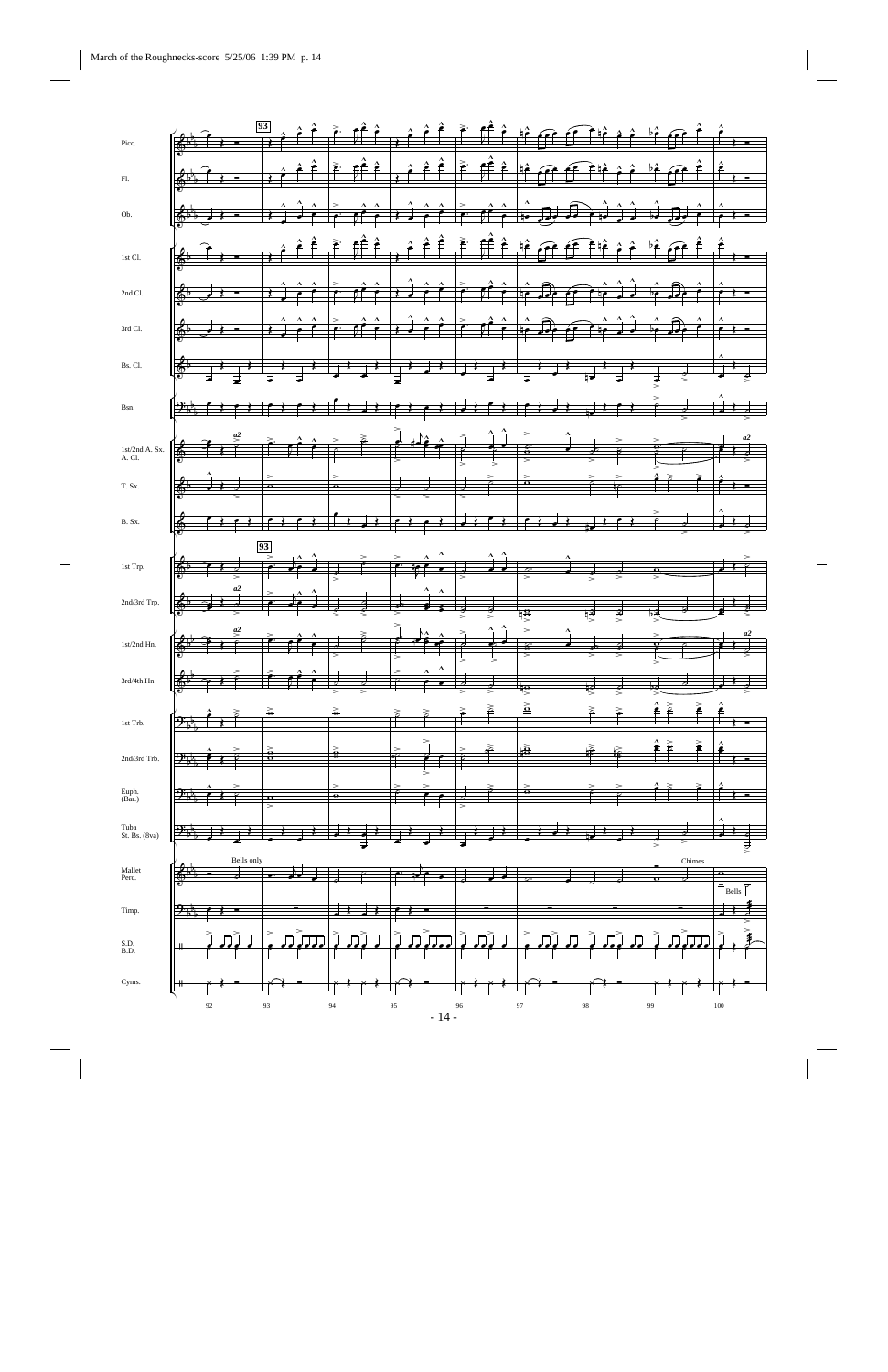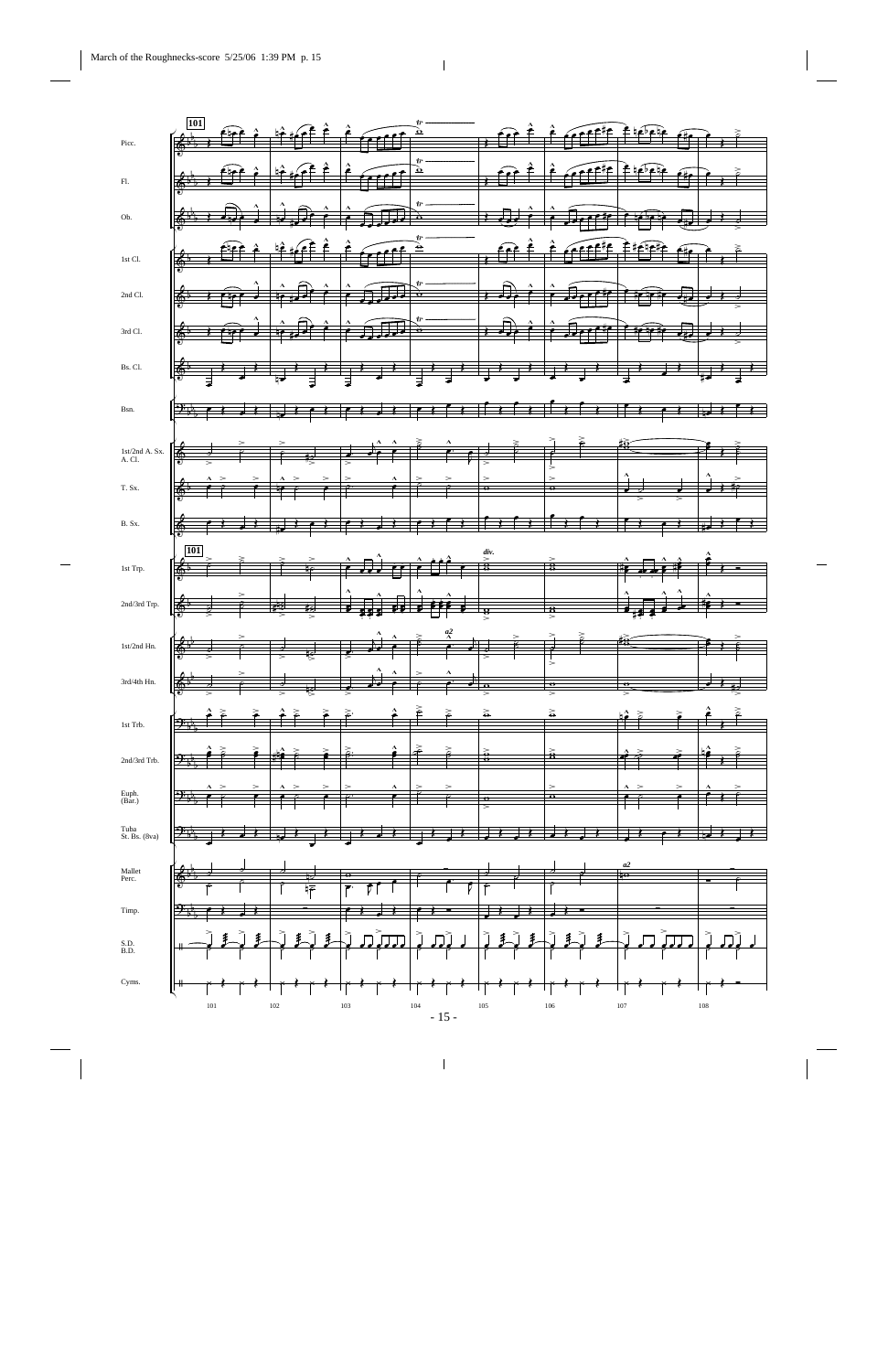